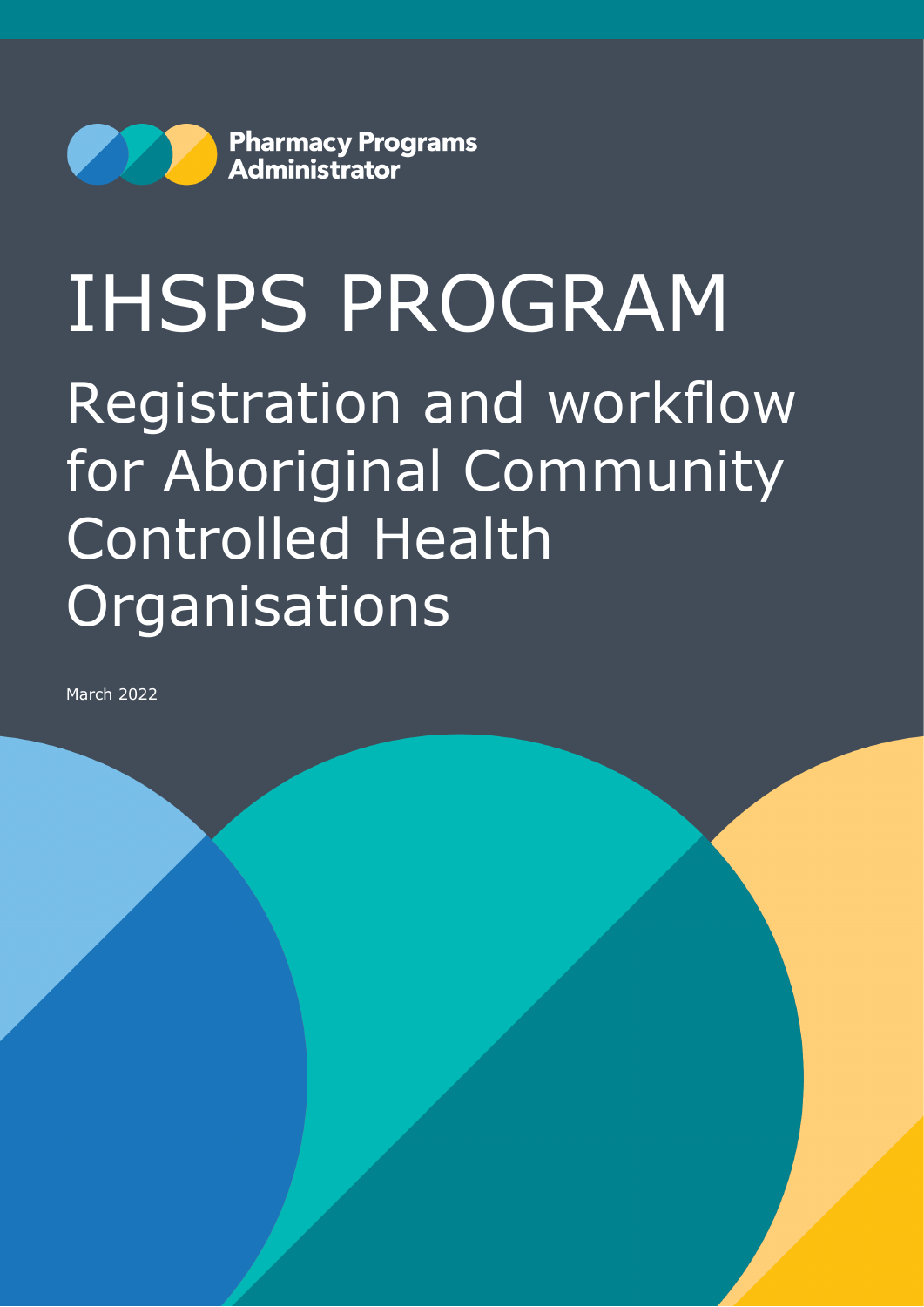

# IHSPS PROGRAM Registration and workflow for Aboriginal Community Controlled Health **Organisations**

March 2022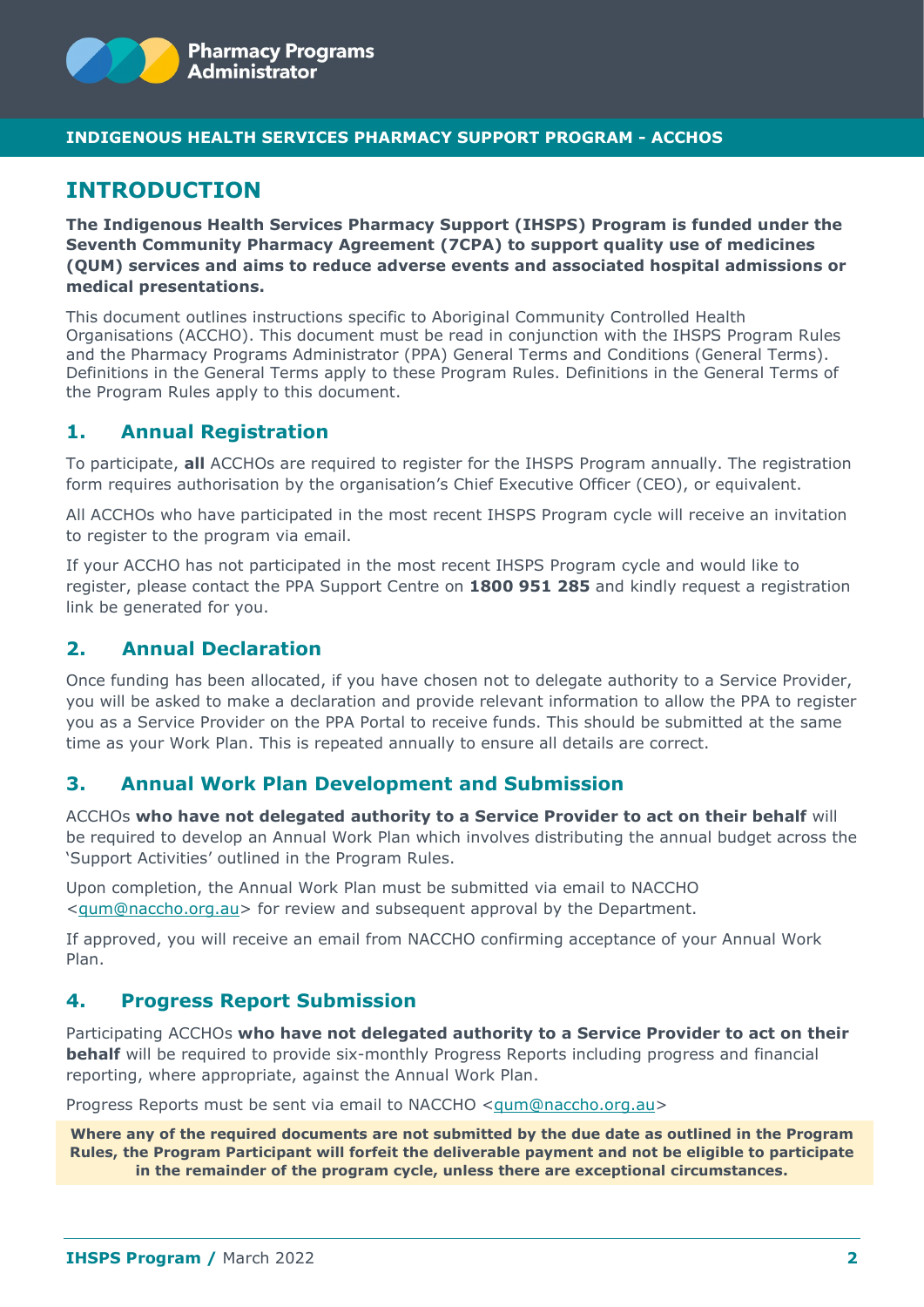

#### **INDIGENOUS HEALTH SERVICES PHARMACY SUPPORT PROGRAM - ACCHOS**

# **INTRODUCTION**

**The Indigenous Health Services Pharmacy Support (IHSPS) Program is funded under the Seventh Community Pharmacy Agreement (7CPA) to support quality use of medicines (QUM) services and aims to reduce adverse events and associated hospital admissions or medical presentations.** 

This document outlines instructions specific to Aboriginal Community Controlled Health Organisations (ACCHO). This document must be read in conjunction with the IHSPS Program Rules and the Pharmacy Programs Administrator (PPA) General Terms and Conditions (General Terms). Definitions in the General Terms apply to these Program Rules. Definitions in the General Terms of the Program Rules apply to this document.

## **1. Annual Registration**

To participate, **all** ACCHOs are required to register for the IHSPS Program annually. The registration form requires authorisation by the organisation's Chief Executive Officer (CEO), or equivalent.

All ACCHOs who have participated in the most recent IHSPS Program cycle will receive an invitation to register to the program via email.

If your ACCHO has not participated in the most recent IHSPS Program cycle and would like to register, please contact the PPA Support Centre on **1800 951 285** and kindly request a registration link be generated for you.

## **2. Annual Declaration**

Once funding has been allocated, if you have chosen not to delegate authority to a Service Provider, you will be asked to make a declaration and provide relevant information to allow the PPA to register you as a Service Provider on the PPA Portal to receive funds. This should be submitted at the same time as your Work Plan. This is repeated annually to ensure all details are correct.

#### **3. Annual Work Plan Development and Submission**

ACCHOs **who have not delegated authority to a Service Provider to act on their behalf** will be required to develop an Annual Work Plan which involves distributing the annual budget across the 'Support Activities' outlined in the Program Rules.

Upon completion, the Annual Work Plan must be submitted via email to NACCHO [<qum@naccho.org.au>](mailto:qum@naccho.org.au) for review and subsequent approval by the Department.

If approved, you will receive an email from NACCHO confirming acceptance of your Annual Work Plan.

## **4. Progress Report Submission**

Participating ACCHOs **who have not delegated authority to a Service Provider to act on their behalf** will be required to provide six-monthly Progress Reports including progress and financial reporting, where appropriate, against the Annual Work Plan.

Progress Reports must be sent via email to NACCHO [<qum@naccho.org.au>](mailto:qum@naccho.org.au)

**Where any of the required documents are not submitted by the due date as outlined in the Program Rules, the Program Participant will forfeit the deliverable payment and not be eligible to participate in the remainder of the program cycle, unless there are exceptional circumstances.**